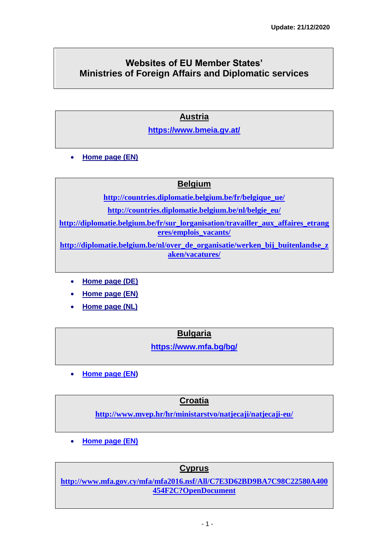# **Websites of EU Member States' Ministries of Foreign Affairs and Diplomatic services**

## **[Austria](http://www.bmeia.gv.at/aussenministerium/startseite.html)**

**<https://www.bmeia.gv.at/>**

**[Home page \(EN\)](https://www.bmeia.gv.at/en/)**

### **[Belgium](http://diplomatie.belgium.be/fr/)**

**[http://countries.diplomatie.belgium.be/fr/belgique\\_ue/](http://countries.diplomatie.belgium.be/fr/belgique_ue/) [http://countries.diplomatie.belgium.be/nl/belgie\\_eu/](http://countries.diplomatie.belgium.be/nl/belgie_eu/) [http://diplomatie.belgium.be/fr/sur\\_lorganisation/travailler\\_aux\\_affaires\\_etrang](http://diplomatie.belgium.be/fr/sur_lorganisation/travailler_aux_affaires_etrangeres/emplois_vacants/) [eres/emplois\\_vacants/](http://diplomatie.belgium.be/fr/sur_lorganisation/travailler_aux_affaires_etrangeres/emplois_vacants/)**

**[http://diplomatie.belgium.be/nl/over\\_de\\_organisatie/werken\\_bij\\_buitenlandse\\_z](http://diplomatie.belgium.be/nl/over_de_organisatie/werken_bij_buitenlandse_zaken/vacatures/) [aken/vacatures/](http://diplomatie.belgium.be/nl/over_de_organisatie/werken_bij_buitenlandse_zaken/vacatures/)**

- **[Home page \(DE\)](http://diplomatie.belgium.be/de/)**
- **[Home page \(EN\)](http://diplomatie.belgium.be/en/)**
- **[Home page \(NL\)](http://diplomatie.belgium.be/nl/)**

**[Bulgaria](http://www.mfa.bg/)**

**<https://www.mfa.bg/bg/>**

**[Home page](https://www.mfa.bg/en/) (EN)**

**Croatia**

**<http://www.mvep.hr/hr/ministarstvo/natjecaji/natjecaji-eu/>**

**[Home page \(EN\)](http://www.mvep.hr/en/)**

### **[Cyprus](http://www.mfa.gov.cy/mfa/mfa2006.nsf/index_gr/index_gr?OpenDocument)**

**[http://www.mfa.gov.cy/mfa/mfa2016.nsf/All/C7E3D62BD9BA7C98C22580A400](http://www.mfa.gov.cy/mfa/mfa2016.nsf/All/C7E3D62BD9BA7C98C22580A400454F2C?OpenDocument) [454F2C?OpenDocument](http://www.mfa.gov.cy/mfa/mfa2016.nsf/All/C7E3D62BD9BA7C98C22580A400454F2C?OpenDocument)**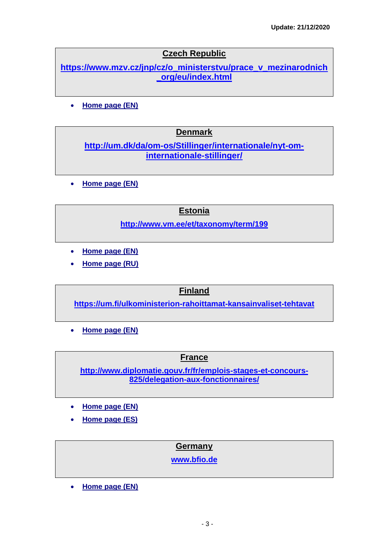## **[Czech Republic](http://www.mzv.cz/jnp/cz/index.html)**

**[https://www.mzv.cz/jnp/cz/o\\_ministerstvu/prace\\_v\\_mezinarodnich](https://www.mzv.cz/jnp/cz/o_ministerstvu/prace_v_mezinarodnich_org/eu/index.html) [\\_org/eu/index.html](https://www.mzv.cz/jnp/cz/o_ministerstvu/prace_v_mezinarodnich_org/eu/index.html)**

**[Home page \(EN\)](http://www.mzv.cz/jnp/en/index.html)**

#### **[Denmark](http://um.dk/da)**

**[http://um.dk/da/om-os/Stillinger/internationale/nyt-om](http://um.dk/da/om-os/Stillinger/internationale/nyt-om-internationale-stillinger/)[internationale-stillinger/](http://um.dk/da/om-os/Stillinger/internationale/nyt-om-internationale-stillinger/)**

**[Home page](http://um.dk/en) (EN)**

#### **[Estonia](http://www.vm.ee/)**

**<http://www.vm.ee/et/taxonomy/term/199>**

- **[Home page](http://www.vm.ee/?q=en) (EN)**
- **[Home page \(RU\)](http://www.vm.ee/?q=ru)**

#### **[Finland](http://formin.finland.fi/public/default.aspx?culture=fi-Fi&contentlan=1)**

**<https://um.fi/ulkoministerion-rahoittamat-kansainvaliset-tehtavat>**

**[Home page](http://formin.finland.fi/public/default.aspx?culture=en-US&contentlan=2) (EN)**

#### **[France](http://www.diplomatie.gouv.fr/fr/)**

**[http://www.diplomatie.gouv.fr/fr/emplois-stages-et-concours-](http://www.diplomatie.gouv.fr/fr/emplois-stages-et-concours-825/delegation-aux-fonctionnaires/)[825/delegation-aux-fonctionnaires/](http://www.diplomatie.gouv.fr/fr/emplois-stages-et-concours-825/delegation-aux-fonctionnaires/)**

- **[Home page \(EN\)](http://www.diplomatie.gouv.fr/en/)**
- **[Home page \(ES\)](http://www.diplomatie.gouv.fr/es/)**

#### **[Germany](http://www.auswaertiges-amt.de/DE/Startseite_node.html)**

**[www.bfio.de](http://www.bfio.de/)**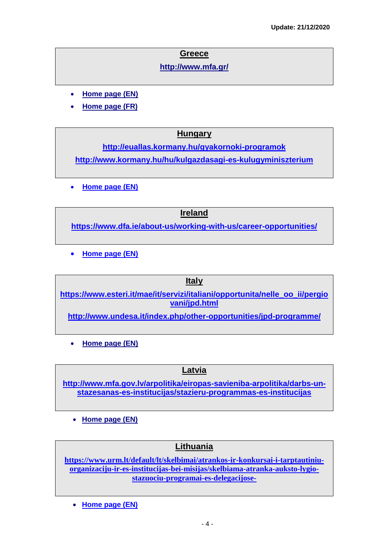### **[Greece](http://www.mfa.gr/)**

**<http://www.mfa.gr/>**

- **[Home page](http://www.mfa.gr/en/) (EN)**
- **[Home page \(FR\)](http://www.mfa.gr/fr/)**

## **[Hungary](http://www.kormany.hu/hu/kulugyminiszterium)**

**<http://euallas.kormany.hu/gyakornoki-programok> <http://www.kormany.hu/hu/kulgazdasagi-es-kulugyminiszterium>**

**[Home page \(EN\)](http://www.kormany.hu/en/ministry-of-foreign-affairs-and-trade)**

#### **[Ireland](http://foreignaffairs.gov.ie/home/index.aspx?id=2)**

**<https://www.dfa.ie/about-us/working-with-us/career-opportunities/>**

**[Home page \(EN\)](https://www.dfa.ie/)**

### **[Italy](http://www.esteri.it/MAE/IT/Home.htm?LANG=IT)**

**[https://www.esteri.it/mae/it/servizi/italiani/opportunita/nelle\\_oo\\_ii/pergio](https://www.esteri.it/mae/it/servizi/italiani/opportunita/nelle_oo_ii/pergiovani/jpd.html) [vani/jpd.html](https://www.esteri.it/mae/it/servizi/italiani/opportunita/nelle_oo_ii/pergiovani/jpd.html)**

**<http://www.undesa.it/index.php/other-opportunities/jpd-programme/>**

**[Home page \(EN\)](http://www.esteri.it/MAE/EN/Home.htm?LANG=EN)**

## **[Latvia](http://www.am.gov.lv/lv/Jaunumi/zinas/)**

**[http://www.mfa.gov.lv/arpolitika/eiropas-savieniba-arpolitika/darbs-un](http://www.mfa.gov.lv/arpolitika/eiropas-savieniba-arpolitika/darbs-un-stazesanas-es-institucijas/stazieru-programmas-es-institucijas)[stazesanas-es-institucijas/stazieru-programmas-es-institucijas](http://www.mfa.gov.lv/arpolitika/eiropas-savieniba-arpolitika/darbs-un-stazesanas-es-institucijas/stazieru-programmas-es-institucijas)**

**[Home page \(EN\)](http://www.am.gov.lv/en)**

### **[Lithuania](http://www.urm.lt/)**

**[https://www.urm.lt/default/lt/skelbimai/atrankos-ir-konkursai-i-tarptautiniu](https://www.urm.lt/default/lt/skelbimai/atrankos-ir-konkursai-i-tarptautiniu-organizaciju-ir-es-institucijas-bei-misijas/skelbiama-atranka-auksto-lygio-stazuociu-programai-es-delegacijose-)[organizaciju-ir-es-institucijas-bei-misijas/skelbiama-atranka-auksto-lygio](https://www.urm.lt/default/lt/skelbimai/atrankos-ir-konkursai-i-tarptautiniu-organizaciju-ir-es-institucijas-bei-misijas/skelbiama-atranka-auksto-lygio-stazuociu-programai-es-delegacijose-)[stazuociu-programai-es-delegacijose-](https://www.urm.lt/default/lt/skelbimai/atrankos-ir-konkursai-i-tarptautiniu-organizaciju-ir-es-institucijas-bei-misijas/skelbiama-atranka-auksto-lygio-stazuociu-programai-es-delegacijose-)**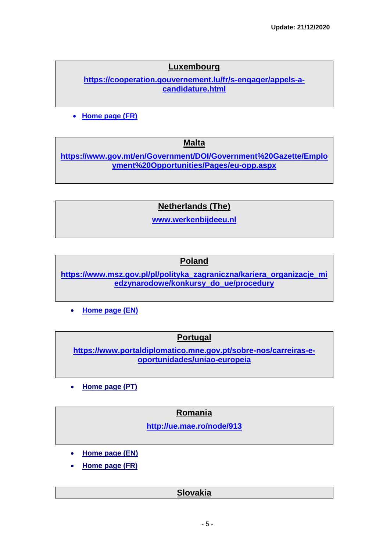## **[Luxembourg](http://www.mae.lu/)**

**[https://cooperation.gouvernement.lu/fr/s-engager/appels-a](https://cooperation.gouvernement.lu/fr/s-engager/appels-a-candidature.html)[candidature.html](https://cooperation.gouvernement.lu/fr/s-engager/appels-a-candidature.html)**

**[Home page \(FR\)](https://maee.gouvernement.lu/)**

**[Malta](http://www.foreign.gov.mt/default.aspx?MDIS=1)**

**[https://www.gov.mt/en/Government/DOI/Government%20Gazette/Emplo](https://www.gov.mt/en/Government/DOI/Government%20Gazette/Employment%20Opportunities/Pages/eu-opp.aspx) [yment%20Opportunities/Pages/eu-opp.aspx](https://www.gov.mt/en/Government/DOI/Government%20Gazette/Employment%20Opportunities/Pages/eu-opp.aspx)**

**[Netherlands \(The\)](http://www.minbuza.nl/)**

**[www.werkenbijdeeu.nl](http://www.werkenbijdeeu.nl/)**

#### **[Poland](http://www.msz.gov.pl/Strona,glowna,1.html)**

**[https://www.msz.gov.pl/pl/polityka\\_zagraniczna/kariera\\_organizacje\\_mi](https://www.msz.gov.pl/pl/polityka_zagraniczna/kariera_organizacje_miedzynarodowe/konkursy_do_ue/procedury) [edzynarodowe/konkursy\\_do\\_ue/procedury](https://www.msz.gov.pl/pl/polityka_zagraniczna/kariera_organizacje_miedzynarodowe/konkursy_do_ue/procedury)**

**[Home page \(EN\)](http://www.msz.gov.pl/en/)**

### **[Portugal](http://www.portugal.gov.pt/pt.aspx)**

**[https://www.portaldiplomatico.mne.gov.pt/sobre-nos/carreiras-e](https://www.portaldiplomatico.mne.gov.pt/sobre-nos/carreiras-e-oportunidades/uniao-europeia)[oportunidades/uniao-europeia](https://www.portaldiplomatico.mne.gov.pt/sobre-nos/carreiras-e-oportunidades/uniao-europeia)**

**[Home page \(PT\)](http://www.portugal.gov.pt/en/the-ministries/ministry-of-foreign-affairs.aspx)**

### **[Romania](http://www.mae.ro/)**

**<http://ue.mae.ro/node/913>**

- **[Home page \(EN\)](http://www.mae.ro/en)**
- **[Home page \(FR\)](http://www.mae.ro/fr)**

### **[Slovakia](http://www.mzv.sk/)**